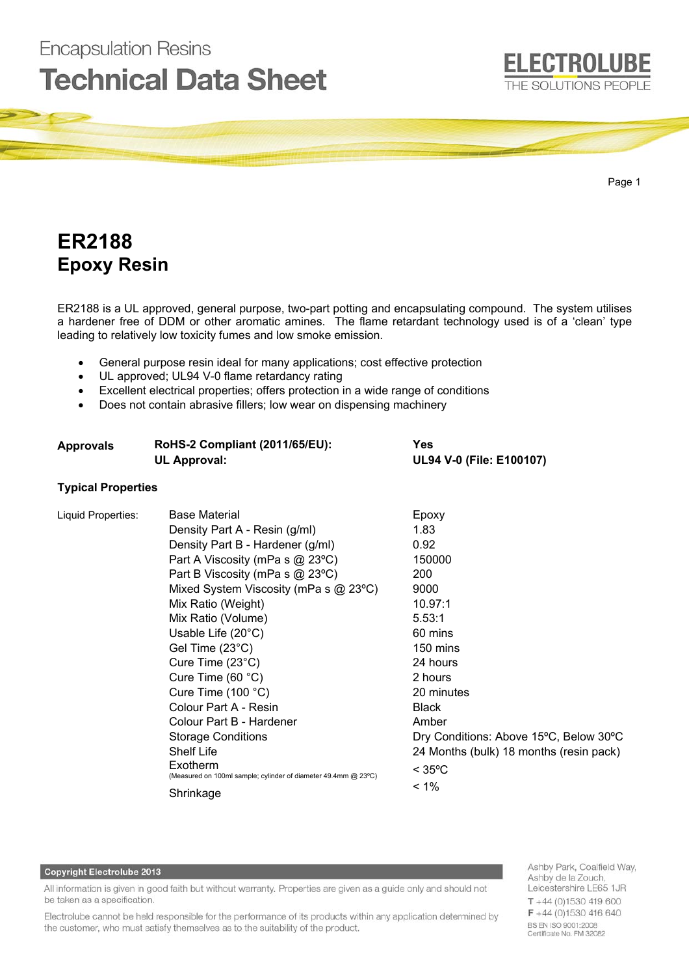# **Technical Data Sheet** THE SOLUTIONS PEOPLE Page 1

### **ER2188 Epoxy Resin**

**Encapsulation Resins** 

ER2188 is a UL approved, general purpose, two-part potting and encapsulating compound. The system utilises a hardener free of DDM or other aromatic amines. The flame retardant technology used is of a 'clean' type leading to relatively low toxicity fumes and low smoke emission.

- General purpose resin ideal for many applications; cost effective protection
- UL approved; UL94 V-0 flame retardancy rating
- Excellent electrical properties; offers protection in a wide range of conditions
- Does not contain abrasive fillers; low wear on dispensing machinery

**Approvals RoHS-2 Compliant (2011/65/EU): Yes**

| <b>UL Approval:</b>       |                                                                            | UL94 V-0 (File: E100107)                |  |
|---------------------------|----------------------------------------------------------------------------|-----------------------------------------|--|
| <b>Typical Properties</b> |                                                                            |                                         |  |
| Liquid Properties:        | <b>Base Material</b>                                                       | Epoxy                                   |  |
|                           | Density Part A - Resin (g/ml)                                              | 1.83                                    |  |
|                           | Density Part B - Hardener (g/ml)                                           | 0.92                                    |  |
|                           | Part A Viscosity (mPa s @ 23°C)                                            | 150000                                  |  |
|                           | Part B Viscosity (mPa s @ 23°C)                                            | 200                                     |  |
|                           | Mixed System Viscosity (mPa s $@$ 23 °C)                                   | 9000                                    |  |
|                           | Mix Ratio (Weight)                                                         | 10.97:1                                 |  |
|                           | Mix Ratio (Volume)                                                         | 5.53:1                                  |  |
|                           | Usable Life $(20^{\circ}C)$                                                | 60 mins                                 |  |
|                           | Gel Time $(23^{\circ}C)$                                                   | 150 mins                                |  |
|                           | Cure Time $(23^{\circ}C)$                                                  | 24 hours                                |  |
|                           | Cure Time $(60 °C)$                                                        | 2 hours                                 |  |
|                           | Cure Time $(100 °C)$                                                       | 20 minutes                              |  |
|                           | Colour Part A - Resin                                                      | <b>Black</b>                            |  |
|                           | Colour Part B - Hardener                                                   | Amber                                   |  |
|                           | <b>Storage Conditions</b>                                                  | Dry Conditions: Above 15°C, Below 30°C  |  |
|                           | <b>Shelf Life</b>                                                          | 24 Months (bulk) 18 months (resin pack) |  |
|                           | Exotherm<br>(Measured on 100ml sample; cylinder of diameter 49.4mm @ 23°C) | $<$ 35°C                                |  |
|                           | Shrinkage                                                                  | $< 1\%$                                 |  |

#### Copyright Electrolube 2013

All information is given in good faith but without warranty. Properties are given as a guide only and should not be taken as a specification.

Electrolube cannot be held responsible for the performance of its products within any application determined by the customer, who must satisfy themselves as to the suitability of the product.

Ashby Park, Coalfield Way, Ashby de la Zouch, Leicestershire LE65 1JR  $T + 44(0)1530419600$ F +44 (0)1530 416 640 BS EN ISO 9001:2008 Certificate No. FM 32082

**ELECTROLUBE**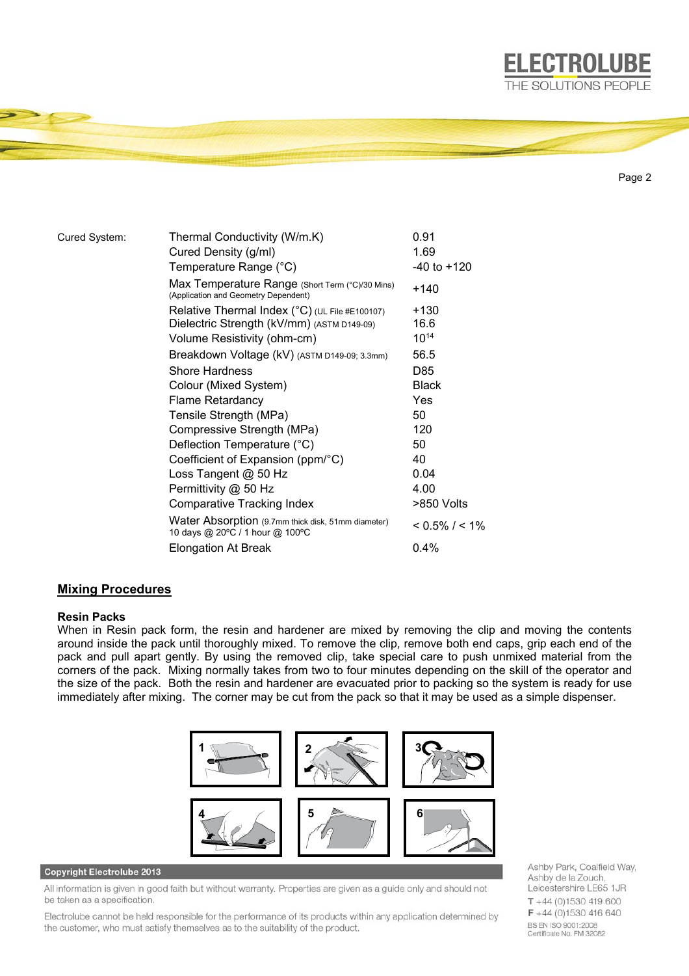

Page 2

**ELECTROLUBE** 

| Cured System: | Thermal Conductivity (W/m.K)                                                            | 0.91              |
|---------------|-----------------------------------------------------------------------------------------|-------------------|
|               | Cured Density (g/ml)                                                                    | 1.69              |
|               | Temperature Range (°C)                                                                  | $-40$ to $+120$   |
|               | Max Temperature Range (Short Term (°C)/30 Mins)<br>(Application and Geometry Dependent) | +140              |
|               | Relative Thermal Index $(^{\circ}C)$ (UL File #E100107)                                 | +130              |
|               | Dielectric Strength (kV/mm) (ASTM D149-09)                                              | 16.6              |
|               | Volume Resistivity (ohm-cm)                                                             | $10^{14}$         |
|               | Breakdown Voltage (kV) (ASTM D149-09; 3.3mm)                                            | 56.5              |
|               | <b>Shore Hardness</b>                                                                   | D85               |
|               | Colour (Mixed System)                                                                   | <b>Black</b>      |
|               | <b>Flame Retardancy</b>                                                                 | Yes               |
|               | Tensile Strength (MPa)                                                                  | 50                |
|               | Compressive Strength (MPa)                                                              | 120               |
|               | Deflection Temperature (°C)                                                             | 50                |
|               | Coefficient of Expansion (ppm/°C)                                                       | 40                |
|               | Loss Tangent @ 50 Hz                                                                    | 0.04              |
|               | Permittivity @ 50 Hz                                                                    | 4.00              |
|               | Comparative Tracking Index                                                              | >850 Volts        |
|               | Water Absorption (9.7mm thick disk, 51mm diameter)<br>10 days @ 20°C / 1 hour @ 100°C   | $< 0.5\% / < 1\%$ |
|               | <b>Elongation At Break</b>                                                              | 0.4%              |

#### **Mixing Procedures**

#### **Resin Packs**

When in Resin pack form, the resin and hardener are mixed by removing the clip and moving the contents around inside the pack until thoroughly mixed. To remove the clip, remove both end caps, grip each end of the pack and pull apart gently. By using the removed clip, take special care to push unmixed material from the corners of the pack. Mixing normally takes from two to four minutes depending on the skill of the operator and the size of the pack. Both the resin and hardener are evacuated prior to packing so the system is ready for use immediately after mixing. The corner may be cut from the pack so that it may be used as a simple dispenser.



#### Copyright Electrolube 2013

All information is given in good faith but without warranty. Properties are given as a guide only and should not be taken as a specification.

Electrolube cannot be held responsible for the performance of its products within any application determined by the customer, who must satisfy themselves as to the suitability of the product.

Ashby Park, Coalfield Way, Ashby de la Zouch, Leicestershire LE65 1JR  $T + 44(0)1530419600$ F +44 (0)1530 416 640 BS EN ISO 9001:2008 Certificate No. FM 32082